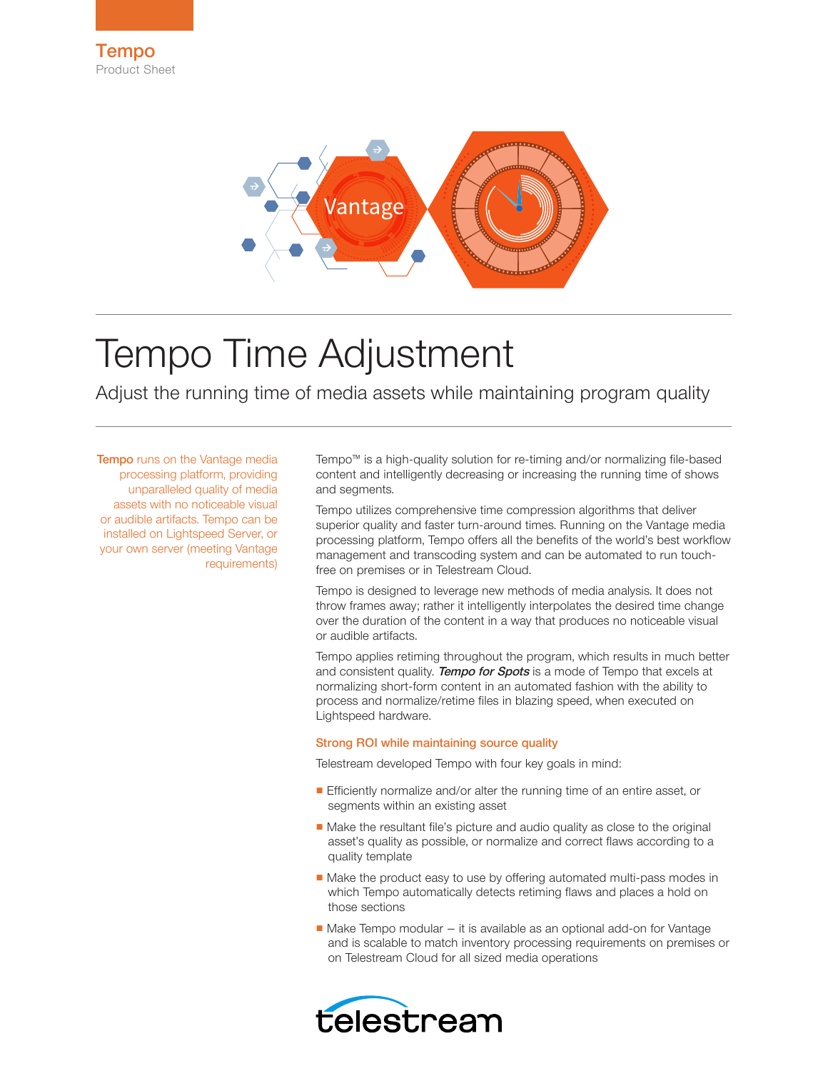

# Tempo Time Adjustment

Adjust the running time of media assets while maintaining program quality

**Tempo** runs on the Vantage media processing platform, providing unparalleled quality of media assets with no noticeable visual or audible artifacts. Tempo can be installed on Lightspeed Server, or your own server (meeting Vantage requirements)

Tempo™ is a high-quality solution for re-timing and/or normalizing file-based content and intelligently decreasing or increasing the running time of shows and segments.

Tempo utilizes comprehensive time compression algorithms that deliver superior quality and faster turn-around times. Running on the Vantage media processing platform, Tempo offers all the benefits of the world's best workflow management and transcoding system and can be automated to run touchfree on premises or in Telestream Cloud.

Tempo is designed to leverage new methods of media analysis. It does not throw frames away; rather it intelligently interpolates the desired time change over the duration of the content in a way that produces no noticeable visual or audible artifacts.

Tempo applies retiming throughout the program, which results in much better and consistent quality. **Tempo for Spots** is a mode of Tempo that excels at normalizing short-form content in an automated fashion with the ability to process and normalize/retime files in blazing speed, when executed on Lightspeed hardware.

# Strong ROI while maintaining source quality

Telestream developed Tempo with four key goals in mind:

- Efficiently normalize and/or alter the running time of an entire asset, or segments within an existing asset
- Make the resultant file's picture and audio quality as close to the original asset's quality as possible, or normalize and correct flaws according to a quality template
- Make the product easy to use by offering automated multi-pass modes in which Tempo automatically detects retiming flaws and places a hold on those sections
- Make Tempo modular it is available as an optional add-on for Vantage and is scalable to match inventory processing requirements on premises or on Telestream Cloud for all sized media operations

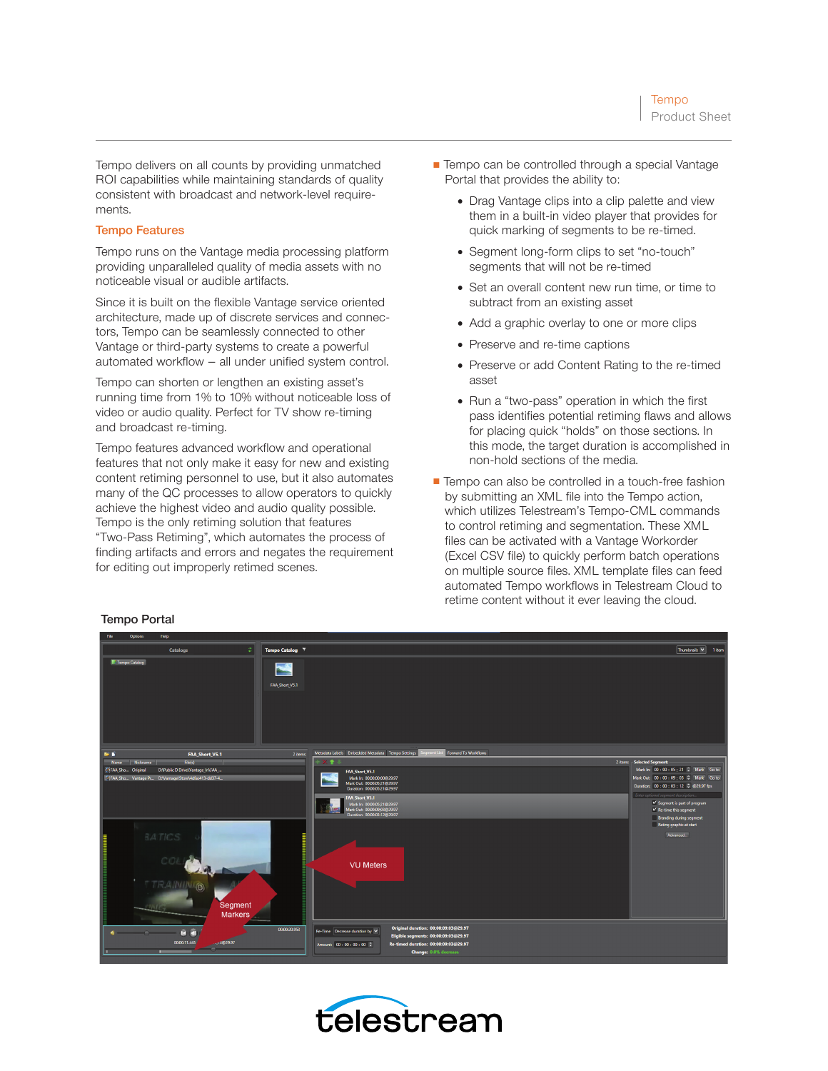Tempo delivers on all counts by providing unmatched ROI capabilities while maintaining standards of quality consistent with broadcast and network-level requirements.

## Tempo Features

Tempo runs on the Vantage media processing platform providing unparalleled quality of media assets with no noticeable visual or audible artifacts.

Since it is built on the flexible Vantage service oriented architecture, made up of discrete services and connectors, Tempo can be seamlessly connected to other Vantage or third-party systems to create a powerful automated workflow – all under unified system control.

Tempo can shorten or lengthen an existing asset's running time from 1% to 10% without noticeable loss of video or audio quality. Perfect for TV show re-timing and broadcast re-timing.

Tempo features advanced workflow and operational features that not only make it easy for new and existing content retiming personnel to use, but it also automates many of the QC processes to allow operators to quickly achieve the highest video and audio quality possible. Tempo is the only retiming solution that features "Two-Pass Retiming", which automates the process of finding artifacts and errors and negates the requirement for editing out improperly retimed scenes.

- Tempo can be controlled through a special Vantage Portal that provides the ability to:
	- Drag Vantage clips into a clip palette and view them in a built-in video player that provides for quick marking of segments to be re-timed.
	- Segment long-form clips to set "no-touch" segments that will not be re-timed
	- Set an overall content new run time, or time to subtract from an existing asset
	- Add a graphic overlay to one or more clips
	- Preserve and re-time captions
	- Preserve or add Content Rating to the re-timed asset
	- Run a "two-pass" operation in which the first pass identifies potential retiming flaws and allows for placing quick "holds" on those sections. In this mode, the target duration is accomplished in non-hold sections of the media.
- Tempo can also be controlled in a touch-free fashion by submitting an XML file into the Tempo action, which utilizes Telestream's Tempo-CML commands to control retiming and segmentation. These XML files can be activated with a Vantage Workorder (Excel CSV file) to quickly perform batch operations on multiple source files. XML template files can feed automated Tempo workflows in Telestream Cloud to retime content without it ever leaving the cloud.



# Tempo Portal